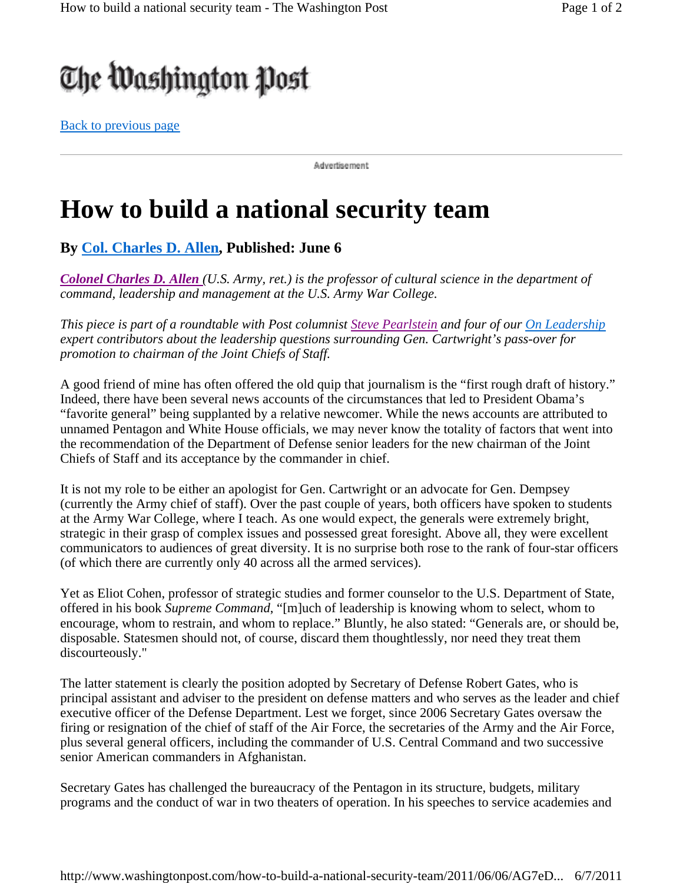## The Washington Post

Back to previous page

Advertisement:

## **How to build a national security team**

**By Col. Charles D. Allen, Published: June 6** 

*Colonel Charles D. Allen (U.S. Army, ret.) is the professor of cultural science in the department of command, leadership and management at the U.S. Army War College.*

*This piece is part of a roundtable with Post columnist Steve Pearlstein and four of our On Leadership expert contributors about the leadership questions surrounding Gen. Cartwright's pass-over for promotion to chairman of the Joint Chiefs of Staff.*

A good friend of mine has often offered the old quip that journalism is the "first rough draft of history." Indeed, there have been several news accounts of the circumstances that led to President Obama's "favorite general" being supplanted by a relative newcomer. While the news accounts are attributed to unnamed Pentagon and White House officials, we may never know the totality of factors that went into the recommendation of the Department of Defense senior leaders for the new chairman of the Joint Chiefs of Staff and its acceptance by the commander in chief.

It is not my role to be either an apologist for Gen. Cartwright or an advocate for Gen. Dempsey (currently the Army chief of staff). Over the past couple of years, both officers have spoken to students at the Army War College, where I teach. As one would expect, the generals were extremely bright, strategic in their grasp of complex issues and possessed great foresight. Above all, they were excellent communicators to audiences of great diversity. It is no surprise both rose to the rank of four-star officers (of which there are currently only 40 across all the armed services).

Yet as Eliot Cohen, professor of strategic studies and former counselor to the U.S. Department of State, offered in his book *Supreme Command*, "[m]uch of leadership is knowing whom to select, whom to encourage, whom to restrain, and whom to replace." Bluntly, he also stated: "Generals are, or should be, disposable. Statesmen should not, of course, discard them thoughtlessly, nor need they treat them discourteously."

The latter statement is clearly the position adopted by Secretary of Defense Robert Gates, who is principal assistant and adviser to the president on defense matters and who serves as the leader and chief executive officer of the Defense Department. Lest we forget, since 2006 Secretary Gates oversaw the firing or resignation of the chief of staff of the Air Force, the secretaries of the Army and the Air Force, plus several general officers, including the commander of U.S. Central Command and two successive senior American commanders in Afghanistan.

Secretary Gates has challenged the bureaucracy of the Pentagon in its structure, budgets, military programs and the conduct of war in two theaters of operation. In his speeches to service academies and